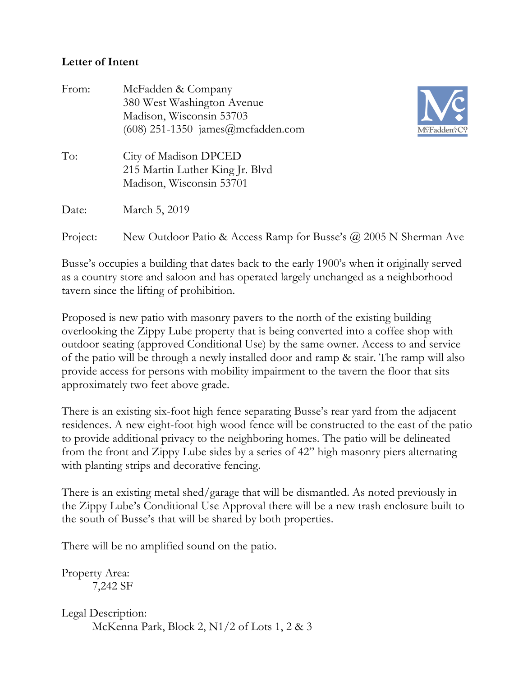## **Letter of Intent**

| From:    | McFadden & Company<br>380 West Washington Avenue<br>Madison, Wisconsin 53703<br>$(608)$ 251-1350 james@mcfadden.com<br>M <sup>c</sup> Fadden <sup>&amp;</sup> C? |
|----------|------------------------------------------------------------------------------------------------------------------------------------------------------------------|
| To:      | City of Madison DPCED<br>215 Martin Luther King Jr. Blvd<br>Madison, Wisconsin 53701                                                                             |
| Date:    | March 5, 2019                                                                                                                                                    |
| Project: | New Outdoor Patio & Access Ramp for Busse's $\omega$ 2005 N Sherman Ave                                                                                          |

Busse's occupies a building that dates back to the early 1900's when it originally served as a country store and saloon and has operated largely unchanged as a neighborhood tavern since the lifting of prohibition.

Proposed is new patio with masonry pavers to the north of the existing building overlooking the Zippy Lube property that is being converted into a coffee shop with outdoor seating (approved Conditional Use) by the same owner. Access to and service of the patio will be through a newly installed door and ramp & stair. The ramp will also provide access for persons with mobility impairment to the tavern the floor that sits approximately two feet above grade.

There is an existing six-foot high fence separating Busse's rear yard from the adjacent residences. A new eight-foot high wood fence will be constructed to the east of the patio to provide additional privacy to the neighboring homes. The patio will be delineated from the front and Zippy Lube sides by a series of 42" high masonry piers alternating with planting strips and decorative fencing.

There is an existing metal shed/garage that will be dismantled. As noted previously in the Zippy Lube's Conditional Use Approval there will be a new trash enclosure built to the south of Busse's that will be shared by both properties.

There will be no amplified sound on the patio.

Property Area: 7,242 SF

Legal Description: McKenna Park, Block 2, N1/2 of Lots 1, 2 & 3